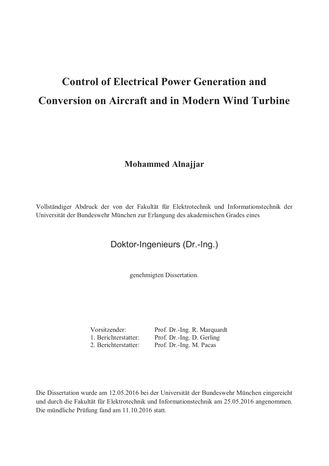# **Control of Electrical Power Generation and Conversion on Aircraft and in Modern Wind Turbine**

#### **Mohammed Alnajjar**

Vollständiger Abdruck der von der Fakultät für Elektrotechnik und Informationstechnik der Universität der Bundeswehr München zur Erlangung des akademischen Grades eines

#### Doktor-Ingenieurs (Dr.-Ing.)

genehmigten Dissertation.

Vorsitzender: Prof. Dr.-Ing. R. Marquardt 1. Berichterstatter: Prof. Dr.-Ing. D. Gerling<br>2. Berichterstatter: Prof. Dr.-Ing. M. Pacas Prof. Dr.-Ing. M. Pacas

Die Dissertation wurde am 12.05.2016 bei der Universität der Bundeswehr München eingereicht und durch die Fakultät für Elektrotechnik und Informationstechnik am 25.05.2016 angenommen. Die mündliche Prüfung fand am 11.10.2016 statt.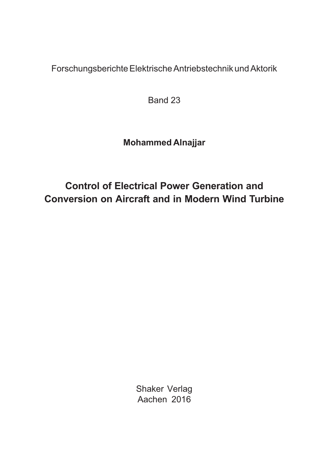Forschungsberichte Elektrische Antriebstechnik und Aktorik

Band 23

### **Mohammed Alnajjar**

## **Control of Electrical Power Generation and Conversion on Aircraft and in Modern Wind Turbine**

Shaker Verlag Aachen 2016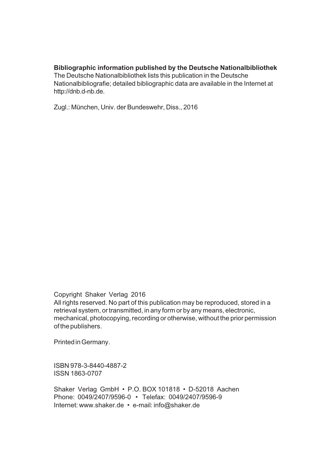#### **Bibliographic information published by the Deutsche Nationalbibliothek**

The Deutsche Nationalbibliothek lists this publication in the Deutsche Nationalbibliografie; detailed bibliographic data are available in the Internet at http://dnb.d-nb.de.

Zugl.: München, Univ. der Bundeswehr, Diss., 2016

Copyright Shaker Verlag 2016

All rights reserved. No part of this publication may be reproduced, stored in a retrieval system, or transmitted, in any form or by any means, electronic, mechanical, photocopying, recording or otherwise, without the prior permission of the publishers.

Printed in Germany.

ISBN 978-3-8440-4887-2 ISSN 1863-0707

Shaker Verlag GmbH • P.O. BOX 101818 • D-52018 Aachen Phone: 0049/2407/9596-0 • Telefax: 0049/2407/9596-9 Internet: www.shaker.de • e-mail: info@shaker.de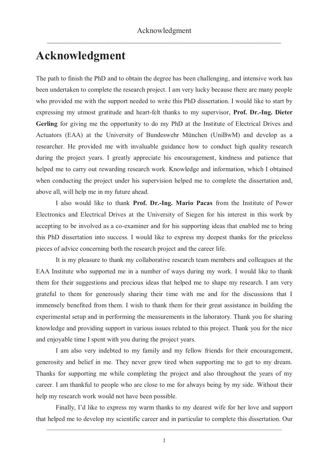## **Acknowledgment**

The path to finish the PhD and to obtain the degree has been challenging, and intensive work has been undertaken to complete the research project. I am very lucky because there are many people who provided me with the support needed to write this PhD dissertation. I would like to start by expressing my utmost gratitude and heart-felt thanks to my supervisor, **Prof. Dr.-Ing. Dieter Gerling** for giving me the opportunity to do my PhD at the Institute of Electrical Drives and Actuators (EAA) at the University of Bundeswehr München (UniBwM) and develop as a researcher. He provided me with invaluable guidance how to conduct high quality research during the project years. I greatly appreciate his encouragement, kindness and patience that helped me to carry out rewarding research work. Knowledge and information, which I obtained when conducting the project under his supervision helped me to complete the dissertation and, above all, will help me in my future ahead.

I also would like to thank **Prof. Dr.-Ing. Mario Pacas** from the Institute of Power Electronics and Electrical Drives at the University of Siegen for his interest in this work by accepting to be involved as a co-examiner and for his supporting ideas that enabled me to bring this PhD dissertation into success. I would like to express my deepest thanks for the priceless pieces of advice concerning both the research project and the career life.

It is my pleasure to thank my collaborative research team members and colleagues at the EAA Institute who supported me in a number of ways during my work. I would like to thank them for their suggestions and precious ideas that helped me to shape my research. I am very grateful to them for generously sharing their time with me and for the discussions that I immensely benefited from them. I wish to thank them for their great assistance in building the experimental setup and in performing the measurements in the laboratory. Thank you for sharing knowledge and providing support in various issues related to this project. Thank you for the nice and enjoyable time I spent with you during the project years.

I am also very indebted to my family and my fellow friends for their encouragement, generosity and belief in me. They never grew tired when supporting me to get to my dream. Thanks for supporting me while completing the project and also throughout the years of my career. I am thankful to people who are close to me for always being by my side. Without their help my research work would not have been possible.

Finally, I'd like to express my warm thanks to my dearest wife for her love and support that helped me to develop my scientific career and in particular to complete this dissertation. Our

 $\_$  , and the set of the set of the set of the set of the set of the set of the set of the set of the set of the set of the set of the set of the set of the set of the set of the set of the set of the set of the set of th 1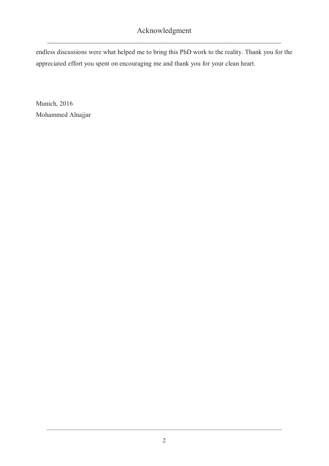endless discussions were what helped me to bring this PhD work to the reality. Thank you for the appreciated effort you spent on encouraging me and thank you for your clean heart.

Munich, 2016 Mohammed Alnajjar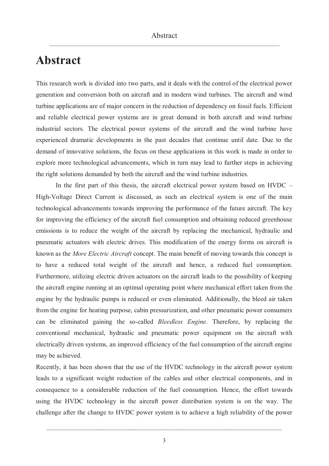## **Abstract**

This research work is divided into two parts, and it deals with the control of the electrical power generation and conversion both on aircraft and in modern wind turbines. The aircraft and wind turbine applications are of major concern in the reduction of dependency on fossil fuels. Efficient and reliable electrical power systems are in great demand in both aircraft and wind turbine industrial sectors. The electrical power systems of the aircraft and the wind turbine have experienced dramatic developments in the past decades that continue until date. Due to the demand of innovative solutions, the focus on these applications in this work is made in order to explore more technological advancements, which in turn may lead to further steps in achieving the right solutions demanded by both the aircraft and the wind turbine industries.

In the first part of this thesis, the aircraft electrical power system based on HVDC – High-Voltage Direct Current is discussed, as such an electrical system is one of the main technological advancements towards improving the performance of the future aircraft. The key for improving the efficiency of the aircraft fuel consumption and obtaining reduced greenhouse emissions is to reduce the weight of the aircraft by replacing the mechanical, hydraulic and pneumatic actuators with electric drives. This modification of the energy forms on aircraft is known as the *More Electric Aircraft* concept. The main benefit of moving towards this concept is to have a reduced total weight of the aircraft and hence, a reduced fuel consumption. Furthermore, utilizing electric driven actuators on the aircraft leads to the possibility of keeping the aircraft engine running at an optimal operating point where mechanical effort taken from the engine by the hydraulic pumps is reduced or even eliminated. Additionally, the bleed air taken from the engine for heating purpose, cabin pressurization, and other pneumatic power consumers can be eliminated gaining the so-called *Bleedless Engine*. Therefore, by replacing the conventional mechanical, hydraulic and pneumatic power equipment on the aircraft with electrically driven systems, an improved efficiency of the fuel consumption of the aircraft engine may be achieved.

Recently, it has been shown that the use of the HVDC technology in the aircraft power system leads to a significant weight reduction of the cables and other electrical components, and in consequence to a considerable reduction of the fuel consumption. Hence, the effort towards using the HVDC technology in the aircraft power distribution system is on the way. The challenge after the change to HVDC power system is to achieve a high reliability of the power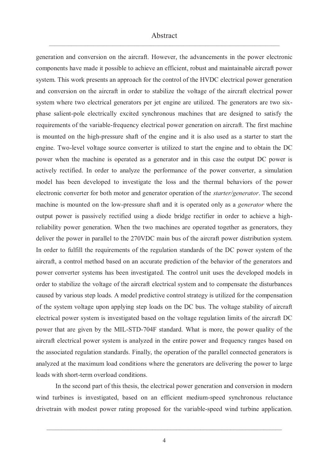## $\Delta \text{bstract}$

generation and conversion on the aircraft. However, the advancements in the power electronic components have made it possible to achieve an efficient, robust and maintainable aircraft power system. This work presents an approach for the control of the HVDC electrical power generation and conversion on the aircraft in order to stabilize the voltage of the aircraft electrical power system where two electrical generators per jet engine are utilized. The generators are two sixphase salient-pole electrically excited synchronous machines that are designed to satisfy the requirements of the variable-frequency electrical power generation on aircraft. The first machine is mounted on the high-pressure shaft of the engine and it is also used as a starter to start the engine. Two-level voltage source converter is utilized to start the engine and to obtain the DC power when the machine is operated as a generator and in this case the output DC power is actively rectified. In order to analyze the performance of the power converter, a simulation model has been developed to investigate the loss and the thermal behaviors of the power electronic converter for both motor and generator operation of the *starter/generator*. The second machine is mounted on the low-pressure shaft and it is operated only as a *generator* where the output power is passively rectified using a diode bridge rectifier in order to achieve a highreliability power generation. When the two machines are operated together as generators, they deliver the power in parallel to the 270VDC main bus of the aircraft power distribution system. In order to fulfill the requirements of the regulation standards of the DC power system of the aircraft, a control method based on an accurate prediction of the behavior of the generators and power converter systems has been investigated. The control unit uses the developed models in order to stabilize the voltage of the aircraft electrical system and to compensate the disturbances caused by various step loads. A model predictive control strategy is utilized for the compensation of the system voltage upon applying step loads on the DC bus. The voltage stability of aircraft electrical power system is investigated based on the voltage regulation limits of the aircraft DC power that are given by the MIL-STD-704F standard. What is more, the power quality of the aircraft electrical power system is analyzed in the entire power and frequency ranges based on the associated regulation standards. Finally, the operation of the parallel connected generators is analyzed at the maximum load conditions where the generators are delivering the power to large loads with short-term overload conditions.

In the second part of this thesis, the electrical power generation and conversion in modern wind turbines is investigated, based on an efficient medium-speed synchronous reluctance drivetrain with modest power rating proposed for the variable-speed wind turbine application.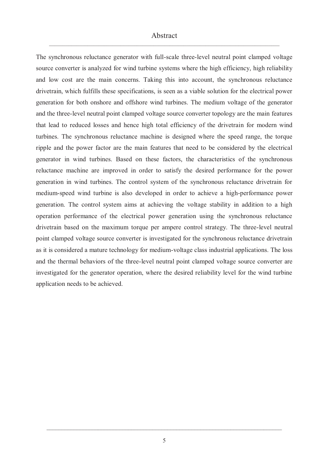# $\Delta \text{bstract}$

The synchronous reluctance generator with full-scale three-level neutral point clamped voltage source converter is analyzed for wind turbine systems where the high efficiency, high reliability and low cost are the main concerns. Taking this into account, the synchronous reluctance drivetrain, which fulfills these specifications, is seen as a viable solution for the electrical power generation for both onshore and offshore wind turbines. The medium voltage of the generator and the three-level neutral point clamped voltage source converter topology are the main features that lead to reduced losses and hence high total efficiency of the drivetrain for modern wind turbines. The synchronous reluctance machine is designed where the speed range, the torque ripple and the power factor are the main features that need to be considered by the electrical generator in wind turbines. Based on these factors, the characteristics of the synchronous reluctance machine are improved in order to satisfy the desired performance for the power generation in wind turbines. The control system of the synchronous reluctance drivetrain for medium-speed wind turbine is also developed in order to achieve a high-performance power generation. The control system aims at achieving the voltage stability in addition to a high operation performance of the electrical power generation using the synchronous reluctance drivetrain based on the maximum torque per ampere control strategy. The three-level neutral point clamped voltage source converter is investigated for the synchronous reluctance drivetrain as it is considered a mature technology for medium-voltage class industrial applications. The loss and the thermal behaviors of the three-level neutral point clamped voltage source converter are investigated for the generator operation, where the desired reliability level for the wind turbine application needs to be achieved.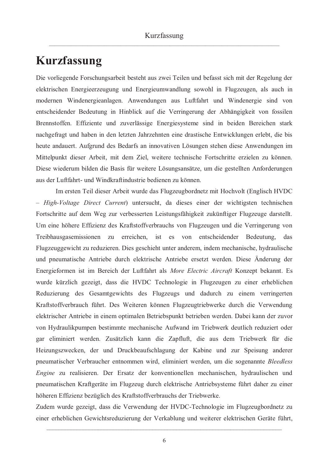## **Kurzfassung**

Die vorliegende Forschungsarbeit besteht aus zwei Teilen und befasst sich mit der Regelung der elektrischen Energieerzeugung und Energieumwandlung sowohl in Flugzeugen, als auch in modernen Windenergieanlagen. Anwendungen aus Luftfahrt und Windenergie sind von entscheidender Bedeutung in Hinblick auf die Verringerung der Abhängigkeit von fossilen Brennstoffen. Effiziente und zuverlässige Energiesysteme sind in beiden Bereichen stark nachgefragt und haben in den letzten Jahrzehnten eine drastische Entwicklungen erlebt, die bis heute andauert. Aufgrund des Bedarfs an innovativen Lösungen stehen diese Anwendungen im Mittelpunkt dieser Arbeit, mit dem Ziel, weitere technische Fortschritte erzielen zu können. Diese wiederum bilden die Basis für weitere Lösungsansätze, um die gestellten Anforderungen aus der Luftfahrt- und Windkraftindustrie bedienen zu können.

Im ersten Teil dieser Arbeit wurde das Flugzeugbordnetz mit Hochvolt (Englisch HVDC – *High-Voltage Direct Current*) untersucht, da dieses einer der wichtigsten technischen Fortschritte auf dem Weg zur verbesserten Leistungsfähigkeit zukünftiger Flugzeuge darstellt. Um eine höhere Effizienz des Kraftstoffverbrauchs von Flugzeugen und die Verringerung von Treibhausgasemissionen zu erreichen, ist es von entscheidender Bedeutung, das Flugzeuggewicht zu reduzieren. Dies geschieht unter anderem, indem mechanische, hydraulische und pneumatische Antriebe durch elektrische Antriebe ersetzt werden. Diese Änderung der Energieformen ist im Bereich der Luftfahrt als *More Electric Aircraft* Konzept bekannt. Es wurde kürzlich gezeigt, dass die HVDC Technologie in Flugzeugen zu einer erheblichen Reduzierung des Gesamtgewichts des Flugzeugs und dadurch zu einem verringerten Kraftstoffverbrauch führt. Des Weiteren können Flugzeugtriebwerke durch die Verwendung elektrischer Antriebe in einem optimalen Betriebspunkt betrieben werden. Dabei kann der zuvor von Hydraulikpumpen bestimmte mechanische Aufwand im Triebwerk deutlich reduziert oder gar eliminiert werden. Zusätzlich kann die Zapfluft, die aus dem Triebwerk für die Heizungszwecken, der und Druckbeaufschlagung der Kabine und zur Speisung anderer pneumatischer Verbraucher entnommen wird, eliminiert werden, um die sogenannte *Bleedless Engine* zu realisieren. Der Ersatz der konventionellen mechanischen, hydraulischen und pneumatischen Kraftgeräte im Flugzeug durch elektrische Antriebsysteme führt daher zu einer höheren Effizienz bezüglich des Kraftstoffverbrauchs der Triebwerke.

Zudem wurde gezeigt, dass die Verwendung der HVDC-Technologie im Flugzeugbordnetz zu einer erheblichen Gewichtsreduzierung der Verkablung und weiterer elektrischen Geräte führt,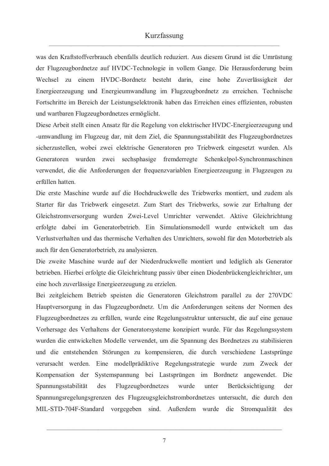# Kurzfassung werd also a state of the state of the state of the state of the state of the state of the state of the state of the state of the state of the state of the state of the state of the state of the state of the sta

was den Kraftstoffverbrauch ebenfalls deutlich reduziert. Aus diesem Grund ist die Umrüstung der Flugzeugbordnetze auf HVDC-Technologie in vollem Gange. Die Herausforderung beim Wechsel zu einem HVDC-Bordnetz besteht darin, eine hohe Zuverlässigkeit der Energieerzeugung und Energieumwandlung im Flugzeugbordnetz zu erreichen. Technische Fortschritte im Bereich der Leistungselektronik haben das Erreichen eines effizienten, robusten und wartbaren Flugzeugbordnetzes ermöglicht.

Diese Arbeit stellt einen Ansatz für die Regelung von elektrischer HVDC-Energieerzeugung und -umwandlung im Flugzeug dar, mit dem Ziel, die Spannungsstabilität des Flugzeugbordnetzes sicherzustellen, wobei zwei elektrische Generatoren pro Triebwerk eingesetzt wurden. Als Generatoren wurden zwei sechsphasige fremderregte Schenkelpol-Synchronmaschinen verwendet, die die Anforderungen der frequenzvariablen Energieerzeugung in Flugzeugen zu erfüllen hatten.

Die erste Maschine wurde auf die Hochdruckwelle des Triebwerks montiert, und zudem als Starter für das Triebwerk eingesetzt. Zum Start des Triebwerks, sowie zur Erhaltung der Gleichstromversorgung wurden Zwei-Level Umrichter verwendet. Aktive Gleichrichtung erfolgte dabei im Generatorbetrieb. Ein Simulationsmodell wurde entwickelt um das Verlustverhalten und das thermische Verhalten des Umrichters, sowohl für den Motorbetrieb als auch für den Generatorbetrieb, zu analysieren.

Die zweite Maschine wurde auf der Niederdruckwelle montiert und lediglich als Generator betrieben. Hierbei erfolgte die Gleichrichtung passiv über einen Diodenbrückengleichrichter, um eine hoch zuverlässige Energieerzeugung zu erzielen.

Bei zeitgleichem Betrieb speisten die Generatoren Gleichstrom parallel zu der 270VDC Hauptversorgung in das Flugzeugbordnetz. Um die Anforderungen seitens der Normen des Flugzeugbordnetzes zu erfüllen, wurde eine Regelungsstruktur untersucht, die auf eine genaue Vorhersage des Verhaltens der Generatorsysteme konzipiert wurde. Für das Regelungssystem wurden die entwickelten Modelle verwendet, um die Spannung des Bordnetzes zu stabilisieren und die entstehenden Störungen zu kompensieren, die durch verschiedene Lastsprünge verursacht werden. Eine modellprädiktive Regelungsstrategie wurde zum Zweck der Kompensation der Systemspannung bei Lastsprüngen im Bordnetz angewendet. Die Spannungsstabilität des Flugzeugbordnetzes wurde unter Berücksichtigung der Spannungsregelungsgrenzen des Flugzeugsgleichstrombordnetzes untersucht, die durch den MIL-STD-704F-Standard vorgegeben sind. Außerdem wurde die Stromqualität des

 $\_$  , and the set of the set of the set of the set of the set of the set of the set of the set of the set of the set of the set of the set of the set of the set of the set of the set of the set of the set of the set of th 7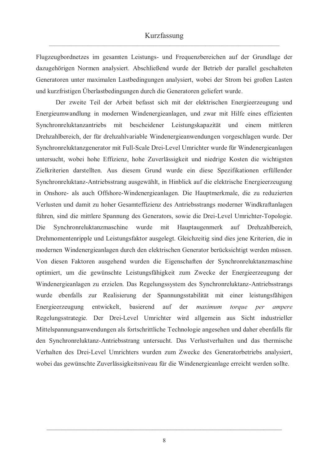Flugzeugbordnetzes im gesamten Leistungs- und Frequenzbereichen auf der Grundlage der dazugehörigen Normen analysiert. Abschließend wurde der Betrieb der parallel geschalteten Generatoren unter maximalen Lastbedingungen analysiert, wobei der Strom bei großen Lasten und kurzfristigen Überlastbedingungen durch die Generatoren geliefert wurde.

Der zweite Teil der Arbeit befasst sich mit der elektrischen Energieerzeugung und Energieumwandlung in modernen Windenergieanlagen, und zwar mit Hilfe eines effizienten Synchronreluktanzantriebs mit bescheidener Leistungskapazität und einem mittleren Drehzahlbereich, der für drehzahlvariable Windenergieanwendungen vorgeschlagen wurde. Der Synchronreluktanzgenerator mit Full-Scale Drei-Level Umrichter wurde für Windenergieanlagen untersucht, wobei hohe Effizienz, hohe Zuverlässigkeit und niedrige Kosten die wichtigsten Zielkriterien darstellten. Aus diesem Grund wurde ein diese Spezifikationen erfüllender Synchronreluktanz-Antriebsstrang ausgewählt, in Hinblick auf die elektrische Energieerzeugung in Onshore- als auch Offshore-Windenergieanlagen. Die Hauptmerkmale, die zu reduzierten Verlusten und damit zu hoher Gesamteffizienz des Antriebsstrangs moderner Windkraftanlagen führen, sind die mittlere Spannung des Generators, sowie die Drei-Level Umrichter-Topologie. Die Synchronreluktanzmaschine wurde mit Hauptaugenmerk auf Drehzahlbereich, Drehmomentenripple und Leistungsfaktor ausgelegt. Gleichzeitig sind dies jene Kriterien, die in modernen Windenergieanlagen durch den elektrischen Generator berücksichtigt werden müssen. Von diesen Faktoren ausgehend wurden die Eigenschaften der Synchronreluktanzmaschine optimiert, um die gewünschte Leistungsfähigkeit zum Zwecke der Energieerzeugung der Windenergieanlagen zu erzielen. Das Regelungssystem des Synchronreluktanz-Antriebsstrangs wurde ebenfalls zur Realisierung der Spannungsstabilität mit einer leistungsfähigen Energieerzeugung entwickelt, basierend auf der *maximum torque per ampere* Regelungsstrategie. Der Drei-Level Umrichter wird allgemein aus Sicht industrieller Mittelspannungsanwendungen als fortschrittliche Technologie angesehen und daher ebenfalls für den Synchronreluktanz-Antriebsstrang untersucht. Das Verlustverhalten und das thermische Verhalten des Drei-Level Umrichters wurden zum Zwecke des Generatorbetriebs analysiert, wobei das gewünschte Zuverlässigkeitsniveau für die Windenergieanlage erreicht werden sollte.

 $\_$  , and the set of the set of the set of the set of the set of the set of the set of the set of the set of the set of the set of the set of the set of the set of the set of the set of the set of the set of the set of th 8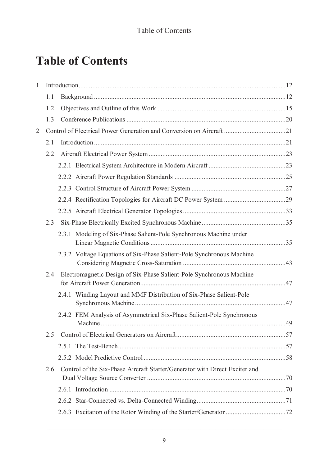# **Table of Contents**

| 1 |                                                                      |  |                                                                             |  |  |
|---|----------------------------------------------------------------------|--|-----------------------------------------------------------------------------|--|--|
|   | 1.1                                                                  |  |                                                                             |  |  |
|   | 1.2                                                                  |  |                                                                             |  |  |
|   | 13                                                                   |  |                                                                             |  |  |
| 2 | Control of Electrical Power Generation and Conversion on Aircraft 21 |  |                                                                             |  |  |
|   | 2.1                                                                  |  |                                                                             |  |  |
|   | 2.2.                                                                 |  |                                                                             |  |  |
|   |                                                                      |  |                                                                             |  |  |
|   |                                                                      |  |                                                                             |  |  |
|   |                                                                      |  |                                                                             |  |  |
|   |                                                                      |  |                                                                             |  |  |
|   |                                                                      |  |                                                                             |  |  |
|   | 2.3                                                                  |  |                                                                             |  |  |
|   |                                                                      |  | 2.3.1 Modeling of Six-Phase Salient-Pole Synchronous Machine under          |  |  |
|   |                                                                      |  | 2.3.2 Voltage Equations of Six-Phase Salient-Pole Synchronous Machine       |  |  |
|   | 2.4                                                                  |  | Electromagnetic Design of Six-Phase Salient-Pole Synchronous Machine        |  |  |
|   |                                                                      |  | 2.4.1 Winding Layout and MMF Distribution of Six-Phase Salient-Pole         |  |  |
|   |                                                                      |  | 2.4.2 FEM Analysis of Asymmetrical Six-Phase Salient-Pole Synchronous       |  |  |
|   | $2.5 -$                                                              |  |                                                                             |  |  |
|   |                                                                      |  |                                                                             |  |  |
|   |                                                                      |  |                                                                             |  |  |
|   | 2.6                                                                  |  | Control of the Six-Phase Aircraft Starter/Generator with Direct Exciter and |  |  |
|   |                                                                      |  |                                                                             |  |  |
|   |                                                                      |  |                                                                             |  |  |
|   |                                                                      |  |                                                                             |  |  |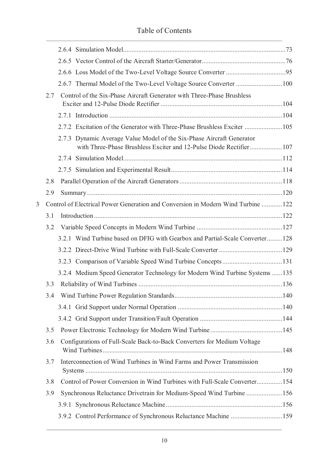#### Table of Contents \_\_\_\_\_\_\_\_\_\_\_\_\_\_\_\_\_\_\_\_\_\_\_\_\_\_\_\_\_\_\_\_\_\_\_\_\_\_\_\_\_\_\_\_\_\_\_\_\_\_\_\_\_\_\_\_\_\_\_\_\_\_\_\_\_\_\_\_\_\_\_\_\_\_\_\_\_\_\_\_\_\_\_\_\_\_

|   |     | 2.6.7 Thermal Model of the Two-Level Voltage Source Converter  100                                                                          |  |
|---|-----|---------------------------------------------------------------------------------------------------------------------------------------------|--|
|   | 2.7 | Control of the Six-Phase Aircraft Generator with Three-Phase Brushless                                                                      |  |
|   |     |                                                                                                                                             |  |
|   |     |                                                                                                                                             |  |
|   |     | 2.7.3 Dynamic Average Value Model of the Six-Phase Aircraft Generator<br>with Three-Phase Brushless Exciter and 12-Pulse Diode Rectifier107 |  |
|   |     |                                                                                                                                             |  |
|   |     |                                                                                                                                             |  |
|   | 2.8 |                                                                                                                                             |  |
|   | 2.9 |                                                                                                                                             |  |
| 3 |     | Control of Electrical Power Generation and Conversion in Modern Wind Turbine  122                                                           |  |
|   | 3.1 |                                                                                                                                             |  |
|   | 3.2 |                                                                                                                                             |  |
|   |     | 3.2.1 Wind Turbine based on DFIG with Gearbox and Partial-Scale Converter128                                                                |  |
|   |     |                                                                                                                                             |  |
|   |     |                                                                                                                                             |  |
|   |     | 3.2.4 Medium Speed Generator Technology for Modern Wind Turbine Systems  135                                                                |  |
|   | 3.3 |                                                                                                                                             |  |
|   | 3.4 |                                                                                                                                             |  |
|   |     |                                                                                                                                             |  |
|   |     |                                                                                                                                             |  |
|   | 3.5 |                                                                                                                                             |  |
|   | 3.6 | Configurations of Full-Scale Back-to-Back Converters for Medium Voltage                                                                     |  |
|   | 3.7 | Interconnection of Wind Turbines in Wind Farms and Power Transmission                                                                       |  |
|   | 3.8 | Control of Power Conversion in Wind Turbines with Full-Scale Converter154                                                                   |  |
|   | 3.9 | Synchronous Reluctance Drivetrain for Medium-Speed Wind Turbine 156                                                                         |  |
|   |     |                                                                                                                                             |  |
|   |     | 3.9.2 Control Performance of Synchronous Reluctance Machine 159                                                                             |  |